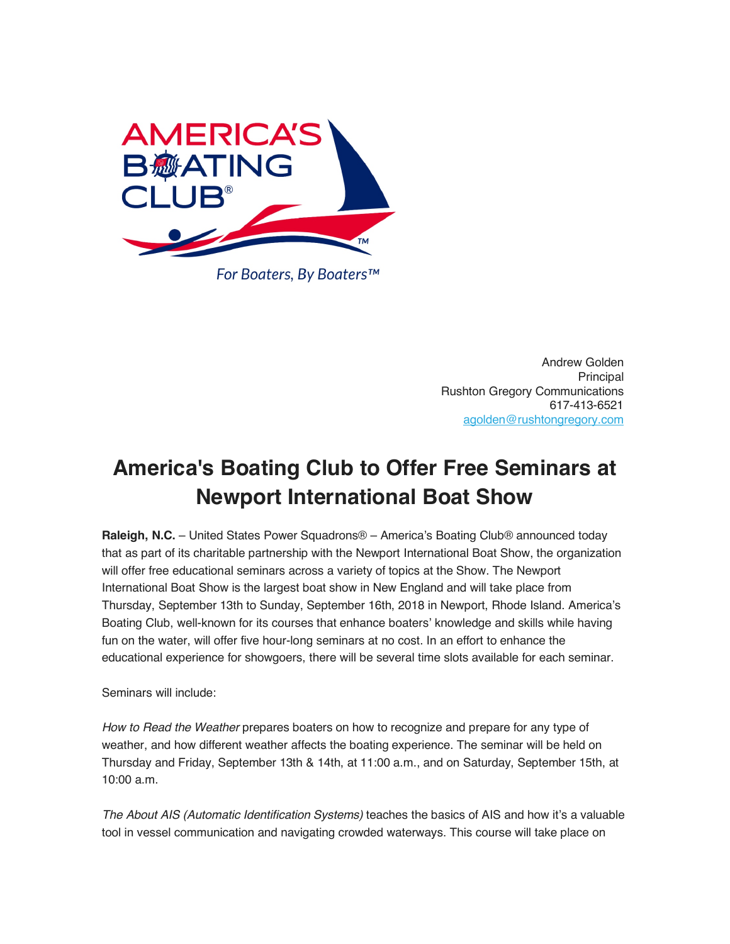

Andrew Golden Principal Rushton Gregory Communications 617-413-6521 agolden@rushtongregory.com

## **America's Boating Club to Offer Free Seminars at Newport International Boat Show**

**Raleigh, N.C.** – United States Power Squadrons® – America's Boating Club® announced today that as part of its charitable partnership with the Newport International Boat Show, the organization will offer free educational seminars across a variety of topics at the Show. The Newport International Boat Show is the largest boat show in New England and will take place from Thursday, September 13th to Sunday, September 16th, 2018 in Newport, Rhode Island. America's Boating Club, well-known for its courses that enhance boaters' knowledge and skills while having fun on the water, will offer five hour-long seminars at no cost. In an effort to enhance the educational experience for showgoers, there will be several time slots available for each seminar.

Seminars will include:

*How to Read the Weather* prepares boaters on how to recognize and prepare for any type of weather, and how different weather affects the boating experience. The seminar will be held on Thursday and Friday, September 13th & 14th, at 11:00 a.m., and on Saturday, September 15th, at 10:00 a.m.

*The About AIS (Automatic Identification Systems)* teaches the basics of AIS and how it's a valuable tool in vessel communication and navigating crowded waterways. This course will take place on